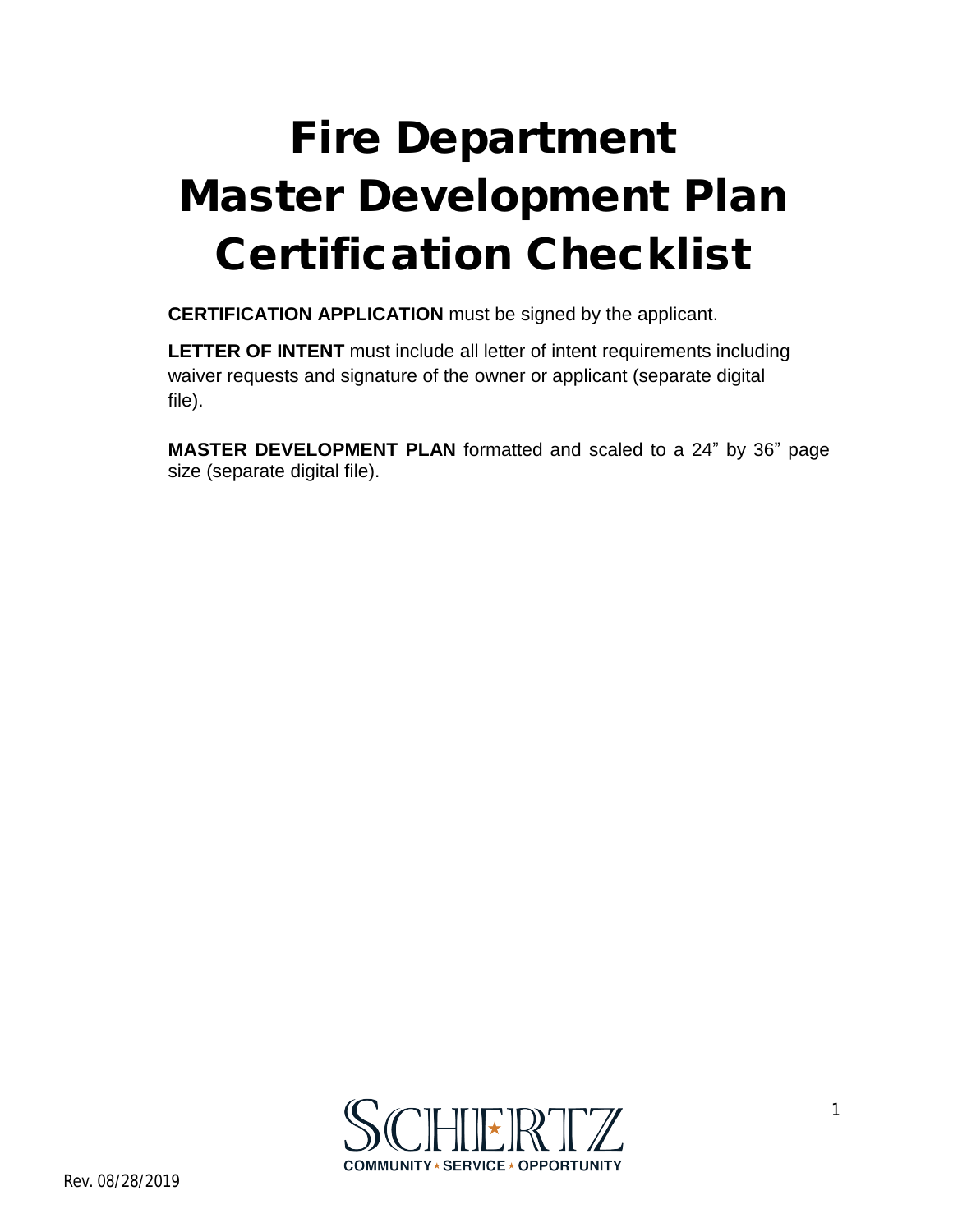## **Fire Department Master Development Plan Certification Checklist**

**CERTIFICATION APPLICATION** must be signed by the applicant.

**LETTER OF INTENT** must include all letter of intent requirements including waiver requests and signature of the owner or applicant (separate digital file).

**MASTER DEVELOPMENT PLAN** formatted and scaled to a 24" by 36" page size (separate digital file).

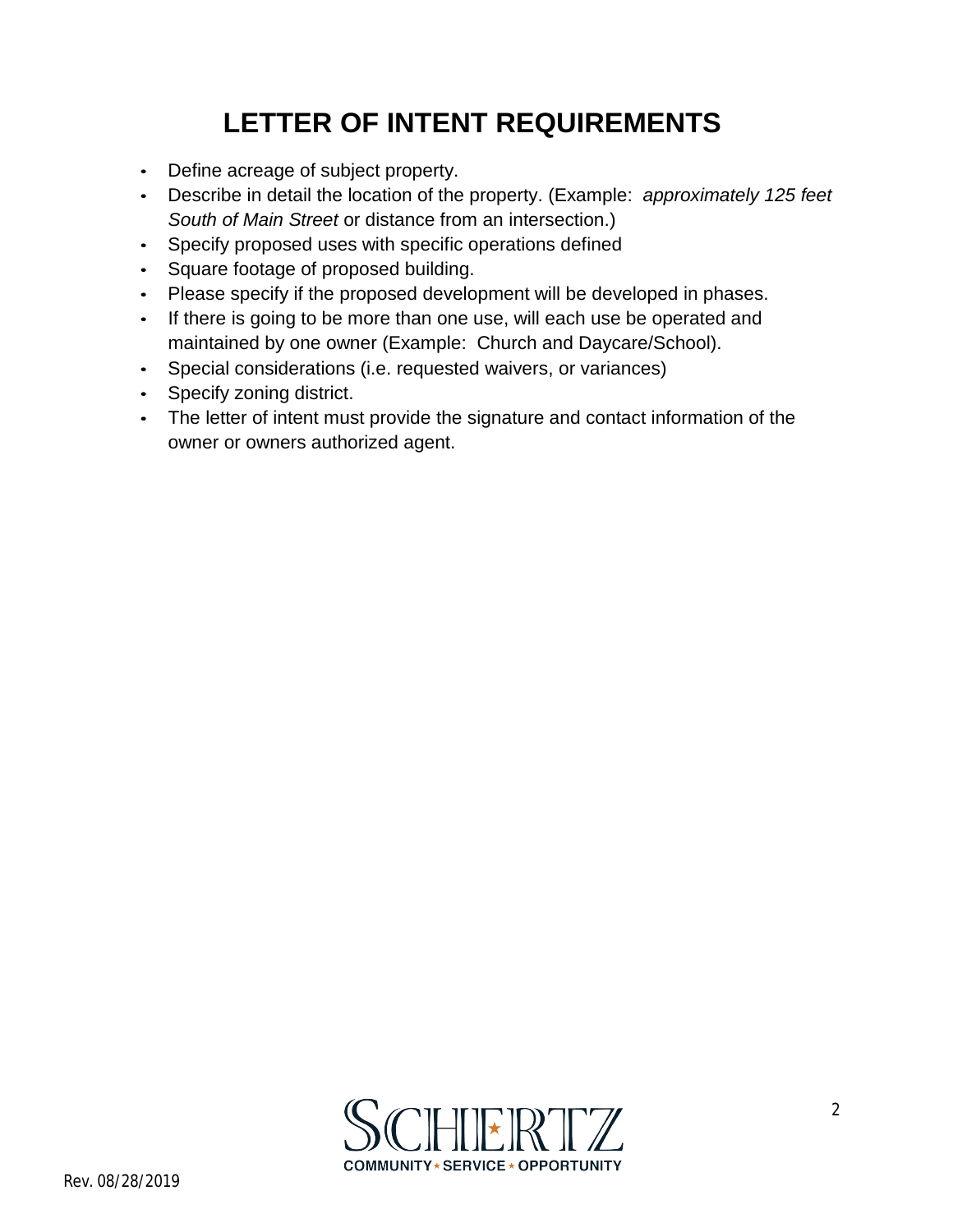## **LETTER OF INTENT REQUIREMENTS**

- Define acreage of subject property.
- Describe in detail the location of the property. (Example: *approximately 125 feet South of Main Street* or distance from an intersection.)
- Specify proposed uses with specific operations defined
- Square footage of proposed building.
- Please specify if the proposed development will be developed in phases.
- If there is going to be more than one use, will each use be operated and maintained by one owner (Example: Church and Daycare/School).
- Special considerations (i.e. requested waivers, or variances)
- Specify zoning district.
- The letter of intent must provide the signature and contact information of the owner or owners authorized agent.

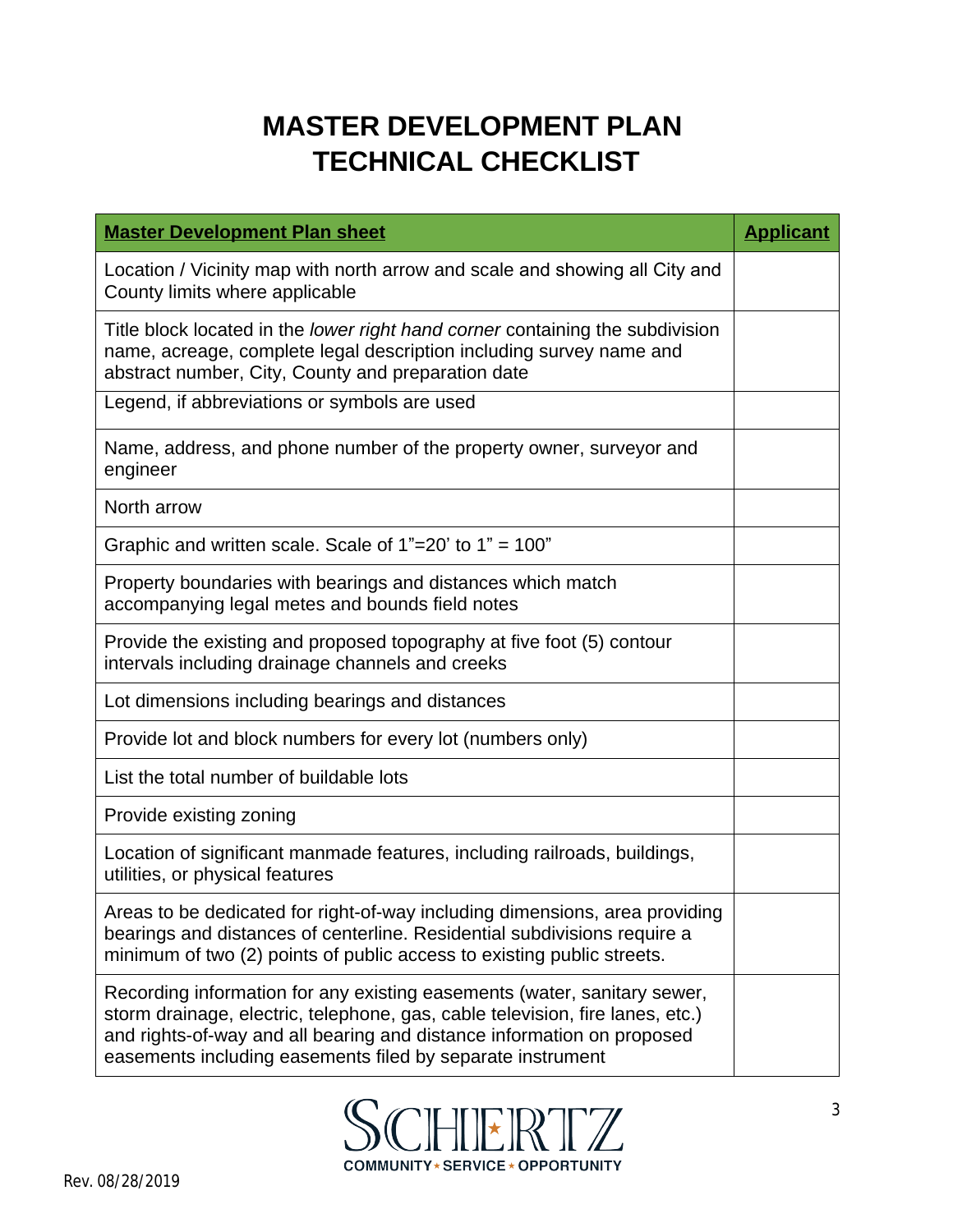## **MASTER DEVELOPMENT PLAN TECHNICAL CHECKLIST**

| <b>Master Development Plan sheet</b>                                                                                                                                                                                                                                                              | <b>Applicant</b> |
|---------------------------------------------------------------------------------------------------------------------------------------------------------------------------------------------------------------------------------------------------------------------------------------------------|------------------|
| Location / Vicinity map with north arrow and scale and showing all City and<br>County limits where applicable                                                                                                                                                                                     |                  |
| Title block located in the <i>lower right hand corner</i> containing the subdivision<br>name, acreage, complete legal description including survey name and<br>abstract number, City, County and preparation date                                                                                 |                  |
| Legend, if abbreviations or symbols are used                                                                                                                                                                                                                                                      |                  |
| Name, address, and phone number of the property owner, surveyor and<br>engineer                                                                                                                                                                                                                   |                  |
| North arrow                                                                                                                                                                                                                                                                                       |                  |
| Graphic and written scale. Scale of $1"=20'$ to $1" = 100"$                                                                                                                                                                                                                                       |                  |
| Property boundaries with bearings and distances which match<br>accompanying legal metes and bounds field notes                                                                                                                                                                                    |                  |
| Provide the existing and proposed topography at five foot (5) contour<br>intervals including drainage channels and creeks                                                                                                                                                                         |                  |
| Lot dimensions including bearings and distances                                                                                                                                                                                                                                                   |                  |
| Provide lot and block numbers for every lot (numbers only)                                                                                                                                                                                                                                        |                  |
| List the total number of buildable lots                                                                                                                                                                                                                                                           |                  |
| Provide existing zoning                                                                                                                                                                                                                                                                           |                  |
| Location of significant manmade features, including railroads, buildings,<br>utilities, or physical features                                                                                                                                                                                      |                  |
| Areas to be dedicated for right-of-way including dimensions, area providing<br>bearings and distances of centerline. Residential subdivisions require a<br>minimum of two (2) points of public access to existing public streets.                                                                 |                  |
| Recording information for any existing easements (water, sanitary sewer,<br>storm drainage, electric, telephone, gas, cable television, fire lanes, etc.)<br>and rights-of-way and all bearing and distance information on proposed<br>easements including easements filed by separate instrument |                  |

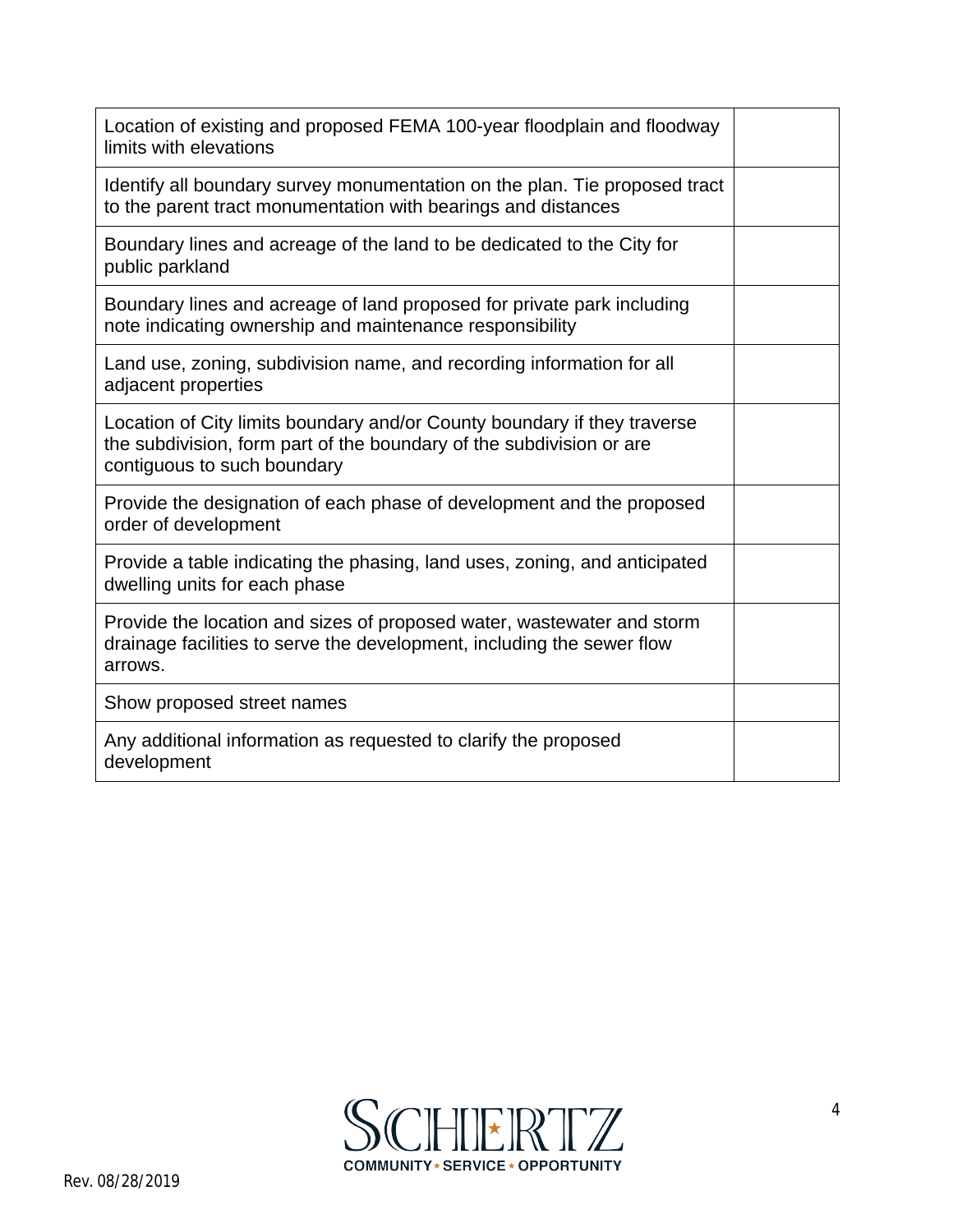| Location of existing and proposed FEMA 100-year floodplain and floodway<br>limits with elevations                                                                               |  |
|---------------------------------------------------------------------------------------------------------------------------------------------------------------------------------|--|
| Identify all boundary survey monumentation on the plan. Tie proposed tract<br>to the parent tract monumentation with bearings and distances                                     |  |
| Boundary lines and acreage of the land to be dedicated to the City for<br>public parkland                                                                                       |  |
| Boundary lines and acreage of land proposed for private park including<br>note indicating ownership and maintenance responsibility                                              |  |
| Land use, zoning, subdivision name, and recording information for all<br>adjacent properties                                                                                    |  |
| Location of City limits boundary and/or County boundary if they traverse<br>the subdivision, form part of the boundary of the subdivision or are<br>contiguous to such boundary |  |
| Provide the designation of each phase of development and the proposed<br>order of development                                                                                   |  |
| Provide a table indicating the phasing, land uses, zoning, and anticipated<br>dwelling units for each phase                                                                     |  |
| Provide the location and sizes of proposed water, wastewater and storm<br>drainage facilities to serve the development, including the sewer flow<br>arrows.                     |  |
| Show proposed street names                                                                                                                                                      |  |
| Any additional information as requested to clarify the proposed<br>development                                                                                                  |  |